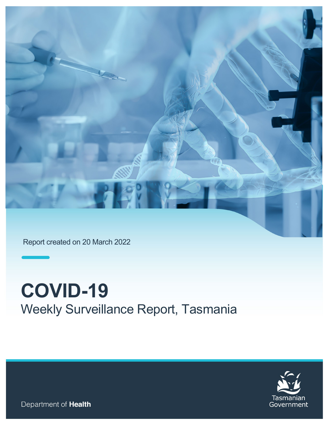

Report created on 20 March 2022

# **COVID-19**  Weekly Surveillance Report, Tasmania



Department of Health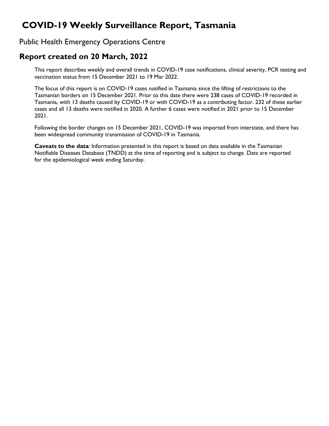# **COVID-19 Weekly Surveillance Report, Tasmania**

#### Public Health Emergency Operations Centre

### **Report created on 20 March, 2022**

This report describes weekly and overall trends in COVID-19 case notifications, clinical severity, PCR testing and vaccination status from 15 December 2021 to 19 Mar 2022.

The focus of this report is on COVID-19 cases notified in Tasmania since the lifting of restrictions to the Tasmanian borders on 15 December 2021. Prior to this date there were 238 cases of COVID-19 recorded in Tasmania, with 13 deaths caused by COVID-19 or with COVID-19 as a contributing factor. 232 of these earlier cases and all 13 deaths were notified in 2020. A further 6 cases were notified in 2021 prior to 15 December 2021.

Following the border changes on 15 December 2021, COVID-19 was imported from interstate, and there has been widespread community transmission of COVID-19 in Tasmania.

**Caveats to the data**: Information presented in this report is based on data available in the Tasmanian Notifiable Diseases Database (TNDD) at the time of reporting and is subject to change. Data are reported for the epidemiological week ending Saturday.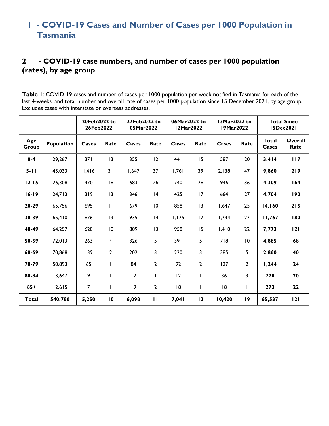# **1 - COVID-19 Cases and Number of Cases per 1000 Population in Tasmania**

## **2 - COVID-19 case numbers, and number of cases per 1000 population (rates), by age group**

**Table 1**: COVID-19 cases and number of cases per 1000 population per week notified in Tasmania for each of the last 4-weeks, and total number and overall rate of cases per 1000 population since 15 December 2021, by age group. Excludes cases with interstate or overseas addresses.

|              |            | 20Feb2022 to<br>26Feb2022 |                |       | 27Feb2022 to<br>06Mar2022 to<br><b>12Mar2022</b><br>05Mar2022 |       |                | 13Mar2022 to<br>19Mar2022 |              | <b>Total Since</b><br><b>I5Dec2021</b> |                 |
|--------------|------------|---------------------------|----------------|-------|---------------------------------------------------------------|-------|----------------|---------------------------|--------------|----------------------------------------|-----------------|
| Age<br>Group | Population | Cases                     | Rate           | Cases | Rate                                                          | Cases | Rate           | Cases                     | Rate         | <b>Total</b><br>Cases                  | Overall<br>Rate |
| $0 - 4$      | 29,267     | 371                       | 13             | 355   | 12                                                            | 441   | 15             | 587                       | 20           | 3,414                                  | 117             |
| $5 - 11$     | 45,033     | 1,416                     | 31             | 1,647 | 37                                                            | 1,761 | 39             | 2,138                     | 47           | 9,860                                  | 219             |
| $12 - 15$    | 26,308     | 470                       | 18             | 683   | 26                                                            | 740   | 28             | 946                       | 36           | 4,309                                  | 164             |
| $16 - 19$    | 24,713     | 319                       | 13             | 346   | 4                                                             | 425   | 17             | 664                       | 27           | 4,704                                  | 190             |
| 20-29        | 65,756     | 695                       | $\mathbf{H}$   | 679   | 10                                                            | 858   | 13             | 1,647                     | 25           | 14,160                                 | 215             |
| 30-39        | 65,410     | 876                       | 13             | 935   | 4                                                             | 1,125 | 17             | 1,744                     | 27           | 11,767                                 | 180             |
| 40-49        | 64,257     | 620                       | 10             | 809   | 13                                                            | 958   | 15             | 1,410                     | 22           | 7,773                                  | 121             |
| 50-59        | 72,013     | 263                       | $\overline{4}$ | 326   | 5                                                             | 391   | 5              | 718                       | 10           | 4,885                                  | 68              |
| 60-69        | 70,868     | 139                       | $\overline{2}$ | 202   | 3                                                             | 220   | 3              | 385                       | 5            | 2,860                                  | 40              |
| 70-79        | 50,893     | 65                        |                | 84    | $\overline{2}$                                                | 92    | $\overline{2}$ | 127                       | $\mathbf{2}$ | 1,244                                  | 24              |
| 80-84        | 13,647     | 9                         |                | 12    |                                                               | 12    | $\mathbf{I}$   | 36                        | 3            | 278                                    | 20              |
| $85+$        | 12,615     | $\overline{7}$            | ı              | 9     | $\overline{2}$                                                | 18    | ı              | 18                        | I            | 273                                    | 22              |
| <b>Total</b> | 540,780    | 5,250                     | 10             | 6,098 | $\mathbf{H}$                                                  | 7,041 | 13             | 10,420                    | 19           | 65,537                                 | 121             |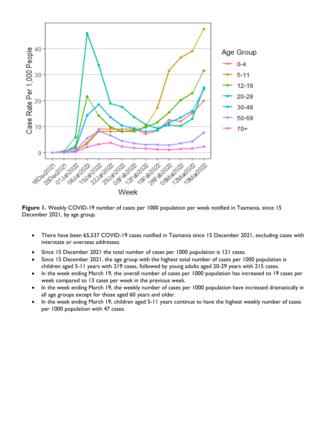

**Figure 1.** Weekly COVID-19 number of cases per 1000 population per week notified in Tasmania, since 15 December 2021, by age group.

- There have been 65,537 COVID-19 cases notified in Tasmania since 15 December 2021, excluding cases with interstate or overseas addresses.
- Since 15 December 2021 the total number of cases per 1000 population is 121 cases.
- Since 15 December 2021, the age group with the highest total number of cases per 1000 population is children aged 5-11 years with 219 cases, followed by young adults aged 20-29 years with 215 cases.
- In the week ending March 19, the overall number of cases per 1000 population has increased to 19 cases per week compared to 13 cases per week in the previous week.
- In the week ending March 19, the weekly number of cases per 1000 population have increased dramatically in all age groups except for those aged 60 years and older.
- In the week ending March 19, children aged 5-11 years continue to have the highest weekly number of cases per 1000 population with 47 cases.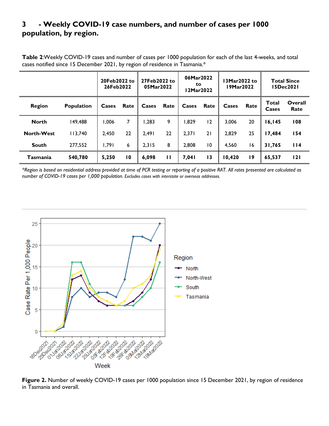#### **3 - Weekly COVID-19 case numbers, and number of cases per 1000 population, by region.**

**Table 2**:Weekly COVID-19 cases and number of cases per 1000 population for each of the last 4-weeks, and total cases notified since 15 December 2021, by region of residence in Tasmania.\*

|                   |                   | 20Feb2022 to<br>26Feb2022 |                 | 27Feb2022 to<br>05Mar2022 |      | 06Mar2022<br>to.<br>12Mar2022 |                 | <b>13Mar2022 to</b><br>19Mar2022 |      | <b>Total Since</b><br>15Dec2021 |                 |
|-------------------|-------------------|---------------------------|-----------------|---------------------------|------|-------------------------------|-----------------|----------------------------------|------|---------------------------------|-----------------|
| <b>Region</b>     | <b>Population</b> | Cases                     | Rate            | Cases                     | Rate | Cases                         | Rate            | Cases                            | Rate | <b>Total</b><br>Cases           | Overall<br>Rate |
| <b>North</b>      | 149.488           | 1,006                     | 7               | 1,283                     | 9    | 829. ا                        | 12              | 3.006                            | 20   | 16,145                          | 108             |
| <b>North-West</b> | 113,740           | 2,450                     | 22              | 2,491                     | 22   | 2,371                         | 21              | 2,829                            | 25   | 17,484                          | 154             |
| <b>South</b>      | 277.552           | 1,791                     | 6               | 2,315                     | 8    | 2,808                         | 10              | 4,560                            | 16   | 31,765                          | l 14            |
| Tasmania          | 540,780           | 5,250                     | $\overline{10}$ | 6,098                     | п    | 7,041                         | $\overline{13}$ | 10,420                           | 19   | 65,537                          | 121             |

*\*Region is based on residential address provided at time of PCR testing or reporting of a positive RAT. All rates presented are calculated as number of COVID-19 cases per 1,000 population. Excludes cases with interstate or overseas addresses.*



Figure 2. Number of weekly COVID-19 cases per 1000 population since 15 December 2021, by region of residence in Tasmania and overall.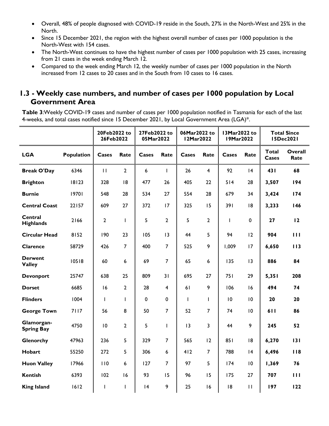- Overall, 48% of people diagnosed with COVID-19 reside in the South, 27% in the North-West and 25% in the North.
- Since 15 December 2021, the region with the highest overall number of cases per 1000 population is the North-West with 154 cases.
- The North-West continues to have the highest number of cases per 1000 population with 25 cases, increasing from 21 cases in the week ending March 12.
- Compared to the week ending March 12, the weekly number of cases per 1000 population in the North increased from 12 cases to 20 cases and in the South from 10 cases to 16 cases.

#### **1.3 - Weekly case numbers, and number of cases per 1000 population by Local Government Area**

**Table 3**:Weekly COVID-19 cases and number of cases per 1000 population notified in Tasmania for each of the last 4-weeks, and total cases notified since 15 December 2021, by Local Government Area (LGA)\*.

|                                    |            | 20Feb2022 to<br>26Feb2022 |                | 27Feb2022 to<br>05Mar2022 |                         | 06Mar2022 to<br><b>12Mar2022</b> |                | 13Mar2022 to<br><b>19Mar2022</b> |              | <b>Total Since</b><br><b>I5Dec2021</b> |                 |
|------------------------------------|------------|---------------------------|----------------|---------------------------|-------------------------|----------------------------------|----------------|----------------------------------|--------------|----------------------------------------|-----------------|
| <b>LGA</b>                         | Population | <b>Cases</b>              | Rate           | Cases                     | Rate                    | Cases                            | Rate           | Cases                            | Rate         | <b>Total</b><br>Cases                  | Overall<br>Rate |
| <b>Break O'Day</b>                 | 6346       | $\mathbf{H}$              | $\overline{2}$ | 6                         | $\mathbf{I}$            | 26                               | $\overline{4}$ | 92                               | 4            | 431                                    | 68              |
| <b>Brighton</b>                    | 18123      | 328                       | 8              | 477                       | 26                      | 405                              | 22             | 514                              | 28           | 3,507                                  | 194             |
| <b>Burnie</b>                      | 19701      | 548                       | 28             | 534                       | 27                      | 554                              | 28             | 679                              | 34           | 3,424                                  | 174             |
| <b>Central Coast</b>               | 22157      | 609                       | 27             | 372                       | 17                      | 325                              | 15             | 391                              | 8            | 3,233                                  | 146             |
| <b>Central</b><br><b>Highlands</b> | 2166       | $\overline{2}$            | L              | 5                         | $\overline{2}$          | 5                                | $\overline{2}$ | $\mathbf{I}$                     | $\mathbf 0$  | 27                                     | 12              |
| <b>Circular Head</b>               | 8152       | 190                       | 23             | 105                       | 13                      | 44                               | 5              | 94                               | 12           | 904                                    | 111             |
| Clarence                           | 58729      | 426                       | $\overline{7}$ | 400                       | $\overline{7}$          | 525                              | 9              | 1,009                            | 17           | 6,650                                  | 113             |
| <b>Derwent</b><br><b>Valley</b>    | 10518      | 60                        | $6\phantom{a}$ | 69                        | $\overline{7}$          | 65                               | 6              | 135                              | 13           | 886                                    | 84              |
| <b>Devonport</b>                   | 25747      | 638                       | 25             | 809                       | 31                      | 695                              | 27             | 751                              | 29           | 5,351                                  | 208             |
| <b>Dorset</b>                      | 6685       | 16                        | $\overline{2}$ | 28                        | $\overline{\mathbf{4}}$ | 61                               | 9              | 106                              | 16           | 494                                    | 74              |
| <b>Flinders</b>                    | 1004       | $\mathsf{I}$              | I              | $\mathbf 0$               | $\mathbf 0$             | $\mathbf{I}$                     | $\mathbf{I}$   | 10                               | 10           | 20                                     | 20              |
| <b>George Town</b>                 | 7117       | 56                        | 8              | 50                        | $\overline{7}$          | 52                               | $\overline{7}$ | 74                               | 10           | 611                                    | 86              |
| Glamorgan-<br><b>Spring Bay</b>    | 4750       | $\overline{10}$           | $\overline{2}$ | 5                         | L                       | 13                               | $\overline{3}$ | 44                               | 9            | 245                                    | 52              |
| Glenorchy                          | 47963      | 236                       | 5              | 329                       | $\overline{7}$          | 565                              | 12             | 851                              | 8            | 6,270                                  | 131             |
| <b>Hobart</b>                      | 55250      | 272                       | 5              | 306                       | $6\phantom{a}$          | 412                              | $\overline{7}$ | 788                              | 4            | 6,496                                  | 118             |
| <b>Huon Valley</b>                 | 17966      | 110                       | 6              | 127                       | $\overline{7}$          | 97                               | 5              | 174                              | 10           | 1,369                                  | 76              |
| <b>Kentish</b>                     | 6393       | 102                       | 16             | 93                        | 15                      | 96                               | 15             | 175                              | 27           | 707                                    | 111             |
| <b>King Island</b>                 | 1612       | L                         | L              | 4                         | 9                       | 25                               | 16             | 8                                | $\mathbf{H}$ | 197                                    | 122             |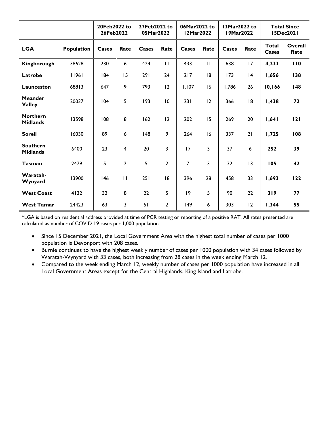|                                    |            | 20Feb2022 to<br>26Feb2022 |                | 27Feb2022 to<br>05Mar2022 |                | 06Mar2022 to<br>12Mar2022 |              | 13Mar2022 to<br>19Mar2022 |      |                       | <b>Total Since</b><br><b>I5Dec2021</b> |
|------------------------------------|------------|---------------------------|----------------|---------------------------|----------------|---------------------------|--------------|---------------------------|------|-----------------------|----------------------------------------|
| <b>LGA</b>                         | Population | Cases                     | Rate           | Cases                     | Rate           | Cases                     | Rate         | Cases                     | Rate | <b>Total</b><br>Cases | Overall<br>Rate                        |
| Kingborough                        | 38628      | 230                       | 6              | 424                       | $\mathbf{H}$   | 433                       | $\mathbf{H}$ | 638                       | 17   | 4,233                 | 110                                    |
| Latrobe                            | 11961      | 184                       | 15             | 291                       | 24             | 217                       | 18           | 173                       | 4    | 1,656                 | 138                                    |
| Launceston                         | 68813      | 647                       | 9              | 793                       | 12             | 1,107                     | 16           | 1,786                     | 26   | 10,166                | 148                                    |
| <b>Meander</b><br><b>Valley</b>    | 20037      | 104                       | 5              | 193                       | 10             | 231                       | 12           | 366                       | 18   | 1,438                 | 72                                     |
| <b>Northern</b><br><b>Midlands</b> | 13598      | 108                       | 8              | 162                       | 12             | 202                       | 15           | 269                       | 20   | 1,641                 | 121                                    |
| <b>Sorell</b>                      | 16030      | 89                        | 6              | 148                       | 9              | 264                       | 16           | 337                       | 21   | 1,725                 | 108                                    |
| <b>Southern</b><br><b>Midlands</b> | 6400       | 23                        | $\overline{4}$ | 20                        | 3              | 17                        | 3            | 37                        | 6    | 252                   | 39                                     |
| <b>Tasman</b>                      | 2479       | 5                         | $\overline{2}$ | 5                         | $\overline{2}$ | 7                         | 3            | 32                        | 13   | 105                   | 42                                     |
| Waratah-<br>Wynyard                | 13900      | 146                       | $\mathbf{H}$   | 251                       | 8              | 396                       | 28           | 458                       | 33   | 1,693                 | 122                                    |
| <b>West Coast</b>                  | 4132       | 32                        | 8              | 22                        | 5              | 9                         | 5            | 90                        | 22   | 319                   | 77                                     |
| <b>West Tamar</b>                  | 24423      | 63                        | 3              | 51                        | 2              | 149                       | 6            | 303                       | 12   | 1,344                 | 55                                     |

\*LGA is based on residential address provided at time of PCR testing or reporting of a positive RAT. All rates presented are calculated as number of COVID-19 cases per 1,000 population.

- Since 15 December 2021, the Local Government Area with the highest total number of cases per 1000 population is Devonport with 208 cases.
- Burnie continues to have the highest weekly number of cases per 1000 population with 34 cases followed by Waratah-Wynyard with 33 cases, both increasing from 28 cases in the week ending March 12.
- Compared to the week ending March 12, weekly number of cases per 1000 population have increased in all Local Government Areas except for the Central Highlands, King Island and Latrobe.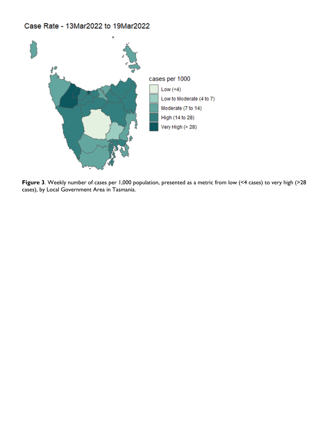#### Case Rate - 13Mar2022 to 19Mar2022



**Figure 3**. Weekly number of cases per 1,000 population, presented as a metric from low (<4 cases) to very high (>28 cases), by Local Government Area in Tasmania.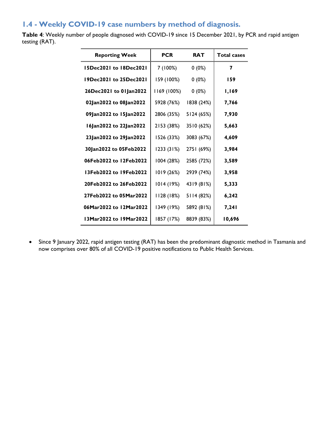#### **1.4 - Weekly COVID-19 case numbers by method of diagnosis.**

**Table 4**: Weekly number of people diagnosed with COVID-19 since 15 December 2021, by PCR and rapid antigen testing (RAT).

| <b>Reporting Week</b>         | <b>PCR</b>  | <b>RAT</b> | <b>Total cases</b> |
|-------------------------------|-------------|------------|--------------------|
| <b>15Dec2021 to 18Dec2021</b> | 7 (100%)    | $0(0\%)$   | 7                  |
| 19Dec2021 to 25Dec2021        | 159 (100%)  | $0(0\%)$   | 159                |
| 26Dec2021 to 01Jan2022        | 1169 (100%) | $0(0\%)$   | <b>I,169</b>       |
| 02Jan2022 to 08Jan2022        | 5928 (76%)  | 1838 (24%) | 7,766              |
| 09Jan2022 to 15Jan2022        | 2806 (35%)  | 5124 (65%) | 7,930              |
| 16Jan2022 to 22Jan2022        | 2153 (38%)  | 3510 (62%) | 5,663              |
| 23Jan2022 to 29Jan2022        | 1526 (33%)  | 3083 (67%) | 4,609              |
| 30Jan2022 to 05Feb2022        | 1233 (31%)  | 2751 (69%) | 3,984              |
| 06Feb2022 to 12Feb2022        | 1004 (28%)  | 2585 (72%) | 3,589              |
| 13Feb2022 to 19Feb2022        | 1019 (26%)  | 2939 (74%) | 3,958              |
| 20Feb2022 to 26Feb2022        | 1014 (19%)  | 4319 (81%) | 5,333              |
| 27Feb2022 to 05Mar2022        | 28 ( 18%)   | 5114 (82%) | 6,242              |
| 06Mar2022 to 12Mar2022        | 1349 (19%)  | 5892 (81%) | 7,241              |
| 13Mar2022 to 19Mar2022        | 1857 (17%)  | 8839 (83%) | 10,696             |

• Since 9 January 2022, rapid antigen testing (RAT) has been the predominant diagnostic method in Tasmania and now comprises over 80% of all COVID-19 positive notifications to Public Health Services.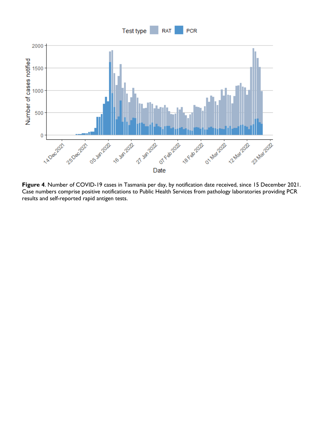



**Figure 4**. Number of COVID-19 cases in Tasmania per day, by notification date received, since 15 December 2021. Case numbers comprise positive notifications to Public Health Services from pathology laboratories providing PCR results and self-reported rapid antigen tests.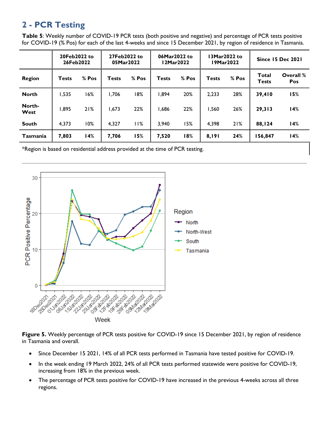# **2 - PCR Testing**

**Table 5**: Weekly number of COVID-19 PCR tests (both positive and negative) and percentage of PCR tests positive for COVID-19 (% Pos) for each of the last 4-weeks and since 15 December 2021, by region of residence in Tasmania.

|                | 20Feb2022 to<br>26Feb2022 |       | 27Feb2022 to<br>05Mar2022 |       | 06Mar2022 to<br>12Mar2022 |       | 13Mar2022 to<br>19Mar2022 |       | <b>Since 15 Dec 2021</b>     |                  |
|----------------|---------------------------|-------|---------------------------|-------|---------------------------|-------|---------------------------|-------|------------------------------|------------------|
| <b>Region</b>  | <b>Tests</b>              | % Pos | <b>Tests</b>              | % Pos | <b>Tests</b>              | % Pos | <b>Tests</b>              | % Pos | <b>Total</b><br><b>Tests</b> | Overall %<br>Pos |
| <b>North</b>   | 1,535                     | 16%   | 1,706                     | 18%   | 1,894                     | 20%   | 2,233                     | 28%   | 39,410                       | 15%              |
| North-<br>West | 1,895                     | 21%   | 1,673                     | 22%   | 866. ا                    | 22%   | 1,560                     | 26%   | 29,313                       | 14%              |
| <b>South</b>   | 4.373                     | 10%   | 4,327                     | 11%   | 3,940                     | 15%   | 4,398                     | 21%   | 88,124                       | 14%              |
| Tasmania       | 7,803                     | 14%   | 7,706                     | 15%   | 7,520                     | 18%   | 8,191                     | 24%   | 156,847                      | 14%              |

\*Region is based on residential address provided at the time of PCR testing.



**Figure 5.** Weekly percentage of PCR tests positive for COVID-19 since 15 December 2021, by region of residence in Tasmania and overall.

- Since December 15 2021, 14% of all PCR tests performed in Tasmania have tested positive for COVID-19.
- In the week ending 19 March 2022, 24% of all PCR tests performed statewide were positive for COVID-19, increasing from 18% in the previous week.
- The percentage of PCR tests positive for COVID-19 have increased in the previous 4-weeks across all three regions.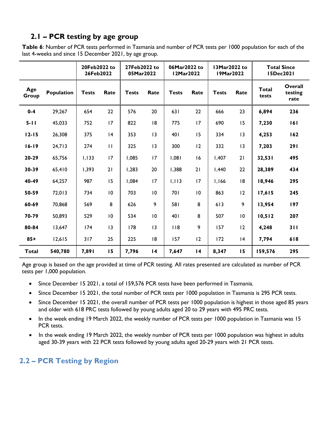## **2.1 – PCR testing by age group**

**Table 6**: Number of PCR tests performed in Tasmania and number of PCR tests per 1000 population for each of the last 4-weeks and since 15 December 2021, by age group.

|              |            | 20Feb2022 to<br>26Feb2022 |              | 27Feb2022 to<br>05Mar2022 |                 | 06Mar2022 to<br>12Mar2022 |                 | 13Mar2022 to<br>19Mar2022 |                 | <b>Total Since</b><br><b>I5Dec2021</b> |                            |
|--------------|------------|---------------------------|--------------|---------------------------|-----------------|---------------------------|-----------------|---------------------------|-----------------|----------------------------------------|----------------------------|
| Age<br>Group | Population | <b>Tests</b>              | Rate         | <b>Tests</b>              | Rate            | <b>Tests</b>              | Rate            | <b>Tests</b>              | Rate            | Total<br>tests                         | Overall<br>testing<br>rate |
| $0-4$        | 29,267     | 654                       | 22           | 576                       | 20              | 631                       | 22              | 666                       | 23              | 6,894                                  | 236                        |
| $5 - 11$     | 45,033     | 752                       | 17           | 822                       | 8               | 775                       | 17              | 690                       | 15              | 7,230                                  | 161                        |
| $12 - 15$    | 26,308     | 375                       | 4            | 353                       | 13              | 401                       | 15              | 334                       | 13              | 4,253                                  | 162                        |
| $16 - 19$    | 24,713     | 274                       | $\mathbf{H}$ | 325                       | 13              | 300                       | 12              | 332                       | $\overline{13}$ | 7,203                                  | 291                        |
| 20-29        | 65,756     | 1,133                     | 17           | 1,085                     | 17              | 1,081                     | 16              | 1,407                     | 21              | 32,531                                 | 495                        |
| 30-39        | 65,410     | 1,393                     | 21           | 1,283                     | 20              | 1,388                     | 21              | 1,440                     | 22              | 28,389                                 | 434                        |
| 40-49        | 64,257     | 987                       | 15           | 1,084                     | 17              | 1,113                     | 17              | 1,166                     | 18              | 18,946                                 | 295                        |
| 50-59        | 72,013     | 734                       | 10           | 703                       | 10              | 701                       | 10              | 863                       | 12              | 17,615                                 | 245                        |
| 60-69        | 70,868     | 569                       | 8            | 626                       | 9               | 581                       | 8               | 613                       | 9               | 13,954                                 | 197                        |
| 70-79        | 50,893     | 529                       | 10           | 534                       | 10              | 401                       | 8               | 507                       | 10              | 10, 512                                | 207                        |
| 80-84        | 13,647     | 174                       | 13           | 178                       | 13              | 118                       | 9               | 157                       | 12              | 4,248                                  | 311                        |
| $85+$        | 12,615     | 317                       | 25           | 225                       | 8               | 157                       | 12              | 172                       | 4               | 7,794                                  | 618                        |
| <b>Total</b> | 540,780    | 7,891                     | 15           | 7,796                     | $\overline{14}$ | 7,647                     | $\overline{14}$ | 8,347                     | 15              | 159,576                                | 295                        |

Age group is based on the age provided at time of PCR testing. All rates presented are calculated as number of PCR tests per 1,000 population.

- Since December 15 2021, a total of 159,576 PCR tests have been performed in Tasmania.
- Since December 15 2021, the total number of PCR tests per 1000 population in Tasmania is 295 PCR tests.
- Since December 15 2021, the overall number of PCR tests per 1000 population is highest in those aged 85 years and older with 618 PRC tests followed by young adults aged 20 to 29 years with 495 PRC tests.
- In the week ending 19 March 2022, the weekly number of PCR tests per 1000 population in Tasmania was 15 PCR tests.
- In the week ending 19 March 2022, the weekly number of PCR tests per 1000 population was highest in adults aged 30-39 years with 22 PCR tests followed by young adults aged 20-29 years with 21 PCR tests.

#### **2.2 – PCR Testing by Region**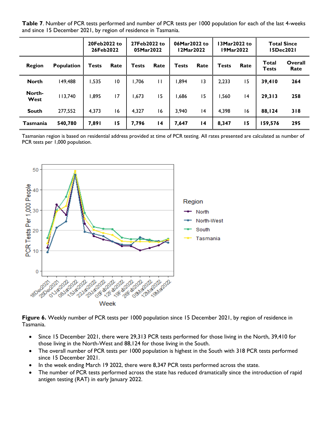**Table 7**. Number of PCR tests performed and number of PCR tests per 1000 population for each of the last 4-weeks and since 15 December 2021, by region of residence in Tasmania.

|                |                   | 20Feb2022 to<br>26Feb2022 |                | 27Feb2022 to<br>05Mar2022 |                 | 06Mar2022 to<br>12Mar2022 |                 | 19Mar2022    | 13Mar2022 to |                       | <b>Total Since</b><br>15Dec2021 |
|----------------|-------------------|---------------------------|----------------|---------------------------|-----------------|---------------------------|-----------------|--------------|--------------|-----------------------|---------------------------------|
| <b>Region</b>  | <b>Population</b> | <b>Tests</b>              | Rate           | <b>Tests</b>              | Rate            | <b>Tests</b>              | Rate            | <b>Tests</b> | Rate         | Total<br><b>Tests</b> | Overall<br>Rate                 |
| <b>North</b>   | 149,488           | ,535                      | $\overline{0}$ | 1,706                     | П               | 894,ا                     | 13              | 2,233        | 15           | 39,410                | 264                             |
| North-<br>West | 113,740           | 1,895                     | 17             | 1,673                     | 15              | 866. ا                    | 15              | 1,560        | 4            | 29,313                | 258                             |
| <b>South</b>   | 277,552           | 4,373                     | 16             | 4,327                     | 16              | 3,940                     | 4               | 4,398        | 16           | 88,124                | 318                             |
| Tasmania       | 540,780           | 7,891                     | 15             | 7,796                     | $\overline{14}$ | 7,647                     | $\overline{14}$ | 8,347        | 15           | 159,576               | 295                             |

Tasmanian region is based on residential address provided at time of PCR testing. All rates presented are calculated as number of PCR tests per 1,000 population.



Figure 6. Weekly number of PCR tests per 1000 population since 15 December 2021, by region of residence in Tasmania.

- Since 15 December 2021, there were 29,313 PCR tests performed for those living in the North, 39,410 for those living in the North-West and 88,124 for those living in the South.
- The overall number of PCR tests per 1000 population is highest in the South with 318 PCR tests performed since 15 December 2021.
- In the week ending March 19 2022, there were 8,347 PCR tests performed across the state.
- The number of PCR tests performed across the state has reduced dramatically since the introduction of rapid antigen testing (RAT) in early January 2022.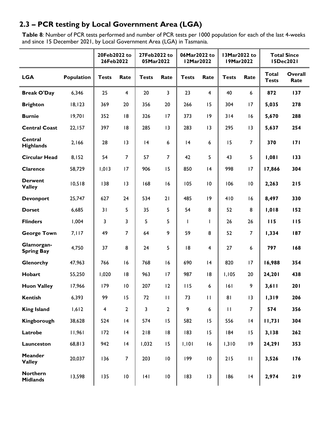## **2.3 – PCR testing by Local Government Area (LGA)**

**Table 8***:* Number of PCR tests performed and number of PCR tests per 1000 population for each of the last 4-weeks and since 15 December 2021, by Local Government Area (LGA) in Tasmania.

|                                    |            | 20Feb2022 to<br>26Feb2022 |                 | 27Feb2022 to<br>05Mar2022 |                 | 06Mar2022 to<br>13Mar2022 to<br><b>12Mar2022</b><br><b>19Mar2022</b> |                  | <b>Total Since</b><br><b>I5Dec2021</b> |                |                              |                 |
|------------------------------------|------------|---------------------------|-----------------|---------------------------|-----------------|----------------------------------------------------------------------|------------------|----------------------------------------|----------------|------------------------------|-----------------|
| <b>LGA</b>                         | Population | <b>Tests</b>              | Rate            | <b>Tests</b>              | Rate            | <b>Tests</b>                                                         | Rate             | <b>Tests</b>                           | Rate           | <b>Total</b><br><b>Tests</b> | Overall<br>Rate |
| <b>Break O'Day</b>                 | 6,346      | 25                        | $\overline{4}$  | 20                        | $\mathbf{3}$    | 23                                                                   | $\overline{4}$   | 40                                     | 6              | 872                          | 137             |
| <b>Brighton</b>                    | 18, 123    | 369                       | 20              | 356                       | 20              | 266                                                                  | 15               | 304                                    | 17             | 5,035                        | 278             |
| <b>Burnie</b>                      | 19,701     | 352                       | 18              | 326                       | 17              | 373                                                                  | 9                | 314                                    | 16             | 5,670                        | 288             |
| <b>Central Coast</b>               | 22,157     | 397                       | 18              | 285                       | 13              | 283                                                                  | 3                | 295                                    | 13             | 5,637                        | 254             |
| Central<br><b>Highlands</b>        | 2,166      | 28                        | 13              | 4                         | 6               | 4                                                                    | 6                | 15                                     | $\overline{7}$ | 370                          | 171             |
| <b>Circular Head</b>               | 8,152      | 54                        | $\overline{7}$  | 57                        | $\overline{7}$  | 42                                                                   | 5                | 43                                     | 5              | 1,081                        | 133             |
| Clarence                           | 58,729     | 1,013                     | 17              | 906                       | 15              | 850                                                                  | 4                | 998                                    | 17             | 17,866                       | 304             |
| <b>Derwent</b><br><b>Valley</b>    | 10,518     | 138                       | 13              | 168                       | 16              | 105                                                                  | 10               | 106                                    | 10             | 2,263                        | 215             |
| <b>Devonport</b>                   | 25,747     | 627                       | 24              | 534                       | 21              | 485                                                                  | 9                | 410                                    | 16             | 8,497                        | 330             |
| <b>Dorset</b>                      | 6,685      | 31                        | 5               | 35                        | 5               | 54                                                                   | 8                | 52                                     | 8              | 1,018                        | 152             |
| <b>Flinders</b>                    | 1,004      | 3                         | $\overline{3}$  | 5                         | 5               | L                                                                    | T                | 26                                     | 26             | 115                          | 115             |
| <b>George Town</b>                 | 7,117      | 49                        | $\overline{7}$  | 64                        | 9               | 59                                                                   | 8                | 52                                     | $\overline{7}$ | 1,334                        | 187             |
| Glamorgan-<br><b>Spring Bay</b>    | 4,750      | 37                        | 8               | 24                        | 5               | 18                                                                   | $\overline{4}$   | 27                                     | 6              | 797                          | 168             |
| Glenorchy                          | 47,963     | 766                       | 16              | 768                       | 16              | 690                                                                  | 4                | 820                                    | 17             | 16,988                       | 354             |
| Hobart                             | 55,250     | 1,020                     | 8               | 963                       | 17              | 987                                                                  | 8                | 1,105                                  | 20             | 24,201                       | 438             |
| <b>Huon Valley</b>                 | 17,966     | 179                       | $\overline{10}$ | 207                       | 12              | 115                                                                  | 6                | 6                                      | 9              | 3,611                        | 201             |
| <b>Kentish</b>                     | 6,393      | 99                        | 15              | 72                        | П               | 73                                                                   | $\mathbf{H}$     | 81                                     | 13             | 1,319                        | 206             |
| <b>King Island</b>                 | 1,612      | $\overline{\mathbf{4}}$   | $\overline{2}$  | 3                         | $\mathbf{2}$    | 9                                                                    | $\boldsymbol{6}$ | $\mathbf{H}$                           | $\overline{7}$ | 574                          | 356             |
| Kingborough                        | 38,628     | 524                       | 4               | 574                       | 15              | 582                                                                  | 15               | 556                                    | 4              | 11,731                       | 304             |
| Latrobe                            | 11,961     | 172                       | 4               | 218                       | 18              | 183                                                                  | 15               | 184                                    | 15             | 3,138                        | 262             |
| Launceston                         | 68,813     | 942                       | 4               | 1,032                     | 15              | 1,101                                                                | 16               | 1,310                                  | 9              | 24,291                       | 353             |
| <b>Meander</b><br><b>Valley</b>    | 20,037     | 136                       | $\overline{7}$  | 203                       | $\overline{10}$ | 199                                                                  | $\overline{10}$  | 215                                    | $\mathbf{H}$   | 3,526                        | 176             |
| <b>Northern</b><br><b>Midlands</b> | 13,598     | 135                       | $\overline{10}$ | 4                         | $\overline{10}$ | 183                                                                  | 3                | 186                                    | 4              | 2,974                        | 219             |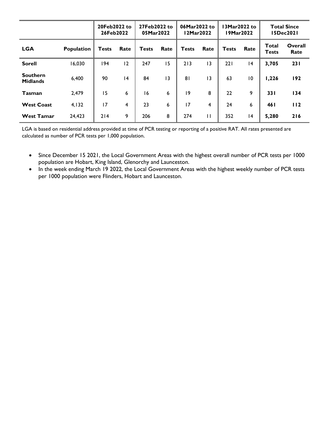|                                    |                   | 20Feb2022 to<br>26Feb2022 |      | 27Feb2022 to<br>05Mar2022 |      | 06Mar2022 to<br>l 2Mar2022 |                 | 13Mar2022 to<br>19Mar2022 |      | <b>Total Since</b><br>15Dec2021 |                 |
|------------------------------------|-------------------|---------------------------|------|---------------------------|------|----------------------------|-----------------|---------------------------|------|---------------------------------|-----------------|
| <b>LGA</b>                         | <b>Population</b> | <b>Tests</b>              | Rate | <b>Tests</b>              | Rate | <b>Tests</b>               | Rate            | <b>Tests</b>              | Rate | Total<br><b>Tests</b>           | Overall<br>Rate |
| <b>Sorell</b>                      | 16,030            | 194                       | 12   | 247                       | 15   | 213                        | $\overline{13}$ | 221                       | 4    | 3,705                           | 231             |
| <b>Southern</b><br><b>Midlands</b> | 6,400             | 90                        | 4    | 84                        | 13   | 81                         | $\overline{13}$ | 63                        | 10   | 1,226                           | 192             |
| <b>Tasman</b>                      | 2,479             | 15                        | 6    | 16                        | 6    | 9                          | 8               | 22                        | 9    | <b>331</b>                      | 134             |
| <b>West Coast</b>                  | 4,132             | 17                        | 4    | 23                        | 6    | 17                         | 4               | 24                        | 6    | 46 I                            | 112             |
| <b>West Tamar</b>                  | 24,423            | 214                       | 9    | 206                       | 8    | 274                        | $\mathbf{H}$    | 352                       | 4    | 5,280                           | 216             |

LGA is based on residential address provided at time of PCR testing or reporting of a positive RAT. All rates presented are calculated as number of PCR tests per 1,000 population.

- Since December 15 2021, the Local Government Areas with the highest overall number of PCR tests per 1000 population are Hobart, King Island, Glenorchy and Launceston.
- In the week ending March 19 2022, the Local Government Areas with the highest weekly number of PCR tests per 1000 population were Flinders, Hobart and Launceston.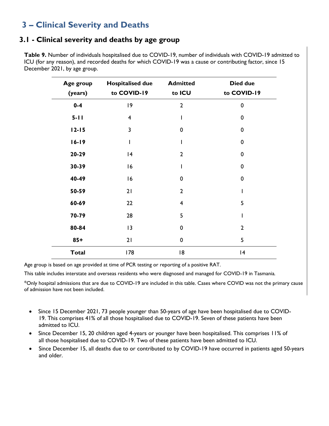## **3 – Clinical Severity and Deaths**

#### **3.1 - Clinical severity and deaths by age group**

**Table 9.** Number of individuals hospitalised due to COVID-19, number of individuals with COVID-19 admitted to ICU (for any reason), and recorded deaths for which COVID-19 was a cause or contributing factor, since 15 December 2021, by age group.

| Age group<br>(years) | <b>Hospitalised due</b><br>to COVID-19 | <b>Admitted</b><br>to ICU | <b>Died due</b><br>to COVID-19 |
|----------------------|----------------------------------------|---------------------------|--------------------------------|
| $0 - 4$              | 9                                      | $\overline{2}$            | 0                              |
| $5 - 11$             | $\overline{4}$                         |                           | $\mathbf 0$                    |
| $12 - 15$            | $\overline{\mathbf{3}}$                | $\mathbf 0$               | 0                              |
| $16 - 19$            |                                        |                           | 0                              |
| 20-29                | 4                                      | $\overline{2}$            | 0                              |
| 30-39                | 16                                     |                           | 0                              |
| 40-49                | 16                                     | $\mathbf 0$               | 0                              |
| 50-59                | 21                                     | $\overline{2}$            |                                |
| 60-69                | 22                                     | $\overline{4}$            | 5                              |
| 70-79                | 28                                     | 5                         |                                |
| 80-84                | 13                                     | $\mathbf 0$               | $\overline{2}$                 |
| $85+$                | 21                                     | $\mathbf 0$               | 5                              |
| <b>Total</b>         | 178                                    | 18                        | 4                              |

Age group is based on age provided at time of PCR testing or reporting of a positive RAT.

This table includes interstate and overseas residents who were diagnosed and managed for COVID-19 in Tasmania*.*

\*Only hospital admissions that are due to COVID-19 are included in this table. Cases where COVID was not the primary cause of admission have not been included.

- Since 15 December 2021, 73 people younger than 50-years of age have been hospitalised due to COVID-19. This comprises 41% of all those hospitalised due to COVID-19. Seven of these patients have been admitted to ICU.
- Since December 15, 20 children aged 4-years or younger have been hospitalised. This comprises 11% of all those hospitalised due to COVID-19. Two of these patients have been admitted to ICU.
- Since December 15, all deaths due to or contributed to by COVID-19 have occurred in patients aged 50-years and older.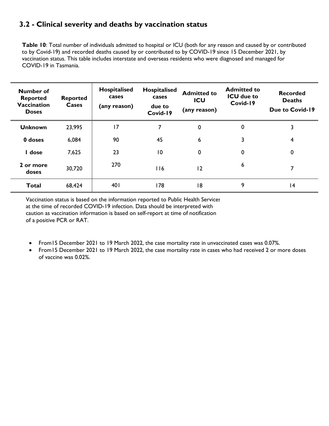#### **3.2 - Clinical severity and deaths by vaccination status**

**Table 10**: Total number of individuals admitted to hospital or ICU (both for any reason and caused by or contributed to by Covid-19) and recorded deaths caused by or contributed to by COVID-19 since 15 December 2021, by vaccination status. This table includes interstate and overseas residents who were diagnosed and managed for COVID-19 in Tasmania.

| Number of<br><b>Reported</b><br><b>Vaccination</b><br><b>Doses</b> | <b>Reported</b><br>Cases | Hospitalised<br>cases<br>(any reason) | Hospitalised<br>cases<br>due to<br>Covid-19 | <b>Admitted to</b><br>ICU<br>(any reason) | <b>Admitted to</b><br><b>ICU</b> due to<br>Covid-19 | <b>Recorded</b><br><b>Deaths</b><br><b>Due to Covid-19</b> |
|--------------------------------------------------------------------|--------------------------|---------------------------------------|---------------------------------------------|-------------------------------------------|-----------------------------------------------------|------------------------------------------------------------|
| <b>Unknown</b>                                                     | 23,995                   | 17                                    | 7                                           | 0                                         | 0                                                   | 3                                                          |
| 0 doses                                                            | 6,084                    | 90                                    | 45                                          | 6                                         | 3                                                   | 4                                                          |
| I dose                                                             | 7,625                    | 23                                    | 10                                          | 0                                         | 0                                                   | 0                                                          |
| 2 or more<br>doses                                                 | 30,720                   | 270                                   | <b>116</b>                                  | 12                                        | 6                                                   | 7                                                          |
| <b>Total</b>                                                       | 68,424                   | 401                                   | 178                                         | 18                                        | 9                                                   | 4                                                          |

Vaccination status is based on the information reported to Public Health Services at the time of recorded COVID-19 infection. Data should be interpreted with caution as vaccination information is based on self-report at time of notification of a positive PCR or RAT.

- From15 December 2021 to 19 March 2022, the case mortality rate in unvaccinated cases was 0.07%.
- From15 December 2021 to 19 March 2022, the case mortality rate in cases who had received 2 or more doses of vaccine was 0.02%.